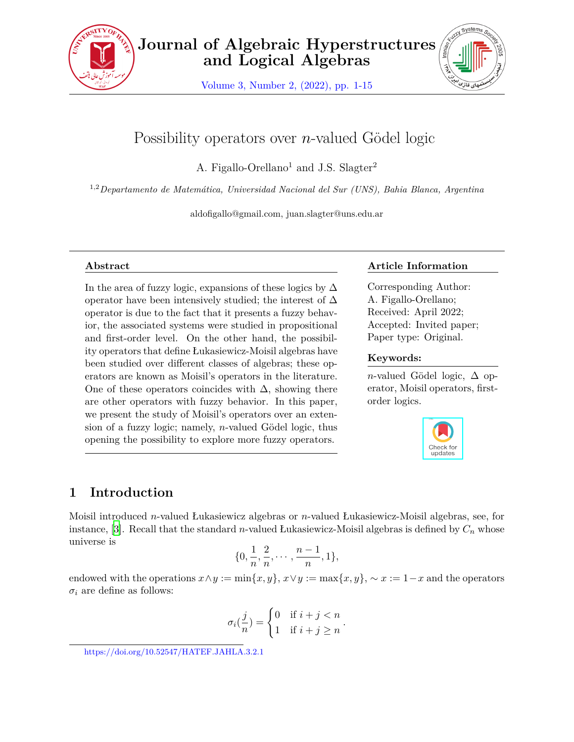

Volume 3, Number 2, (2022), pp. 1-15



# Possibility operators over *n*-valued Gödel logic

A. Figallo-Orellano<sup>1</sup> and J.S. Slagter<sup>2</sup>

1,2*Departamento de Matemática, Universidad Nacional del Sur (UNS), Bahia Blanca, Argentina*

aldofigallo@gmail.com, juan.slagter@uns.edu.ar

### **Abstract**

In the area of fuzzy logic, expansions of these logics by  $\Delta$ operator have been intensively studied; the interest of  $\Delta$ operator is due to the fact that it presents a fuzzy behavior, the associated systems were studied in propositional and first-order level. On the other hand, the possibility operators that define Łukasiewicz-Moisil algebras have been studied over different classes of algebras; these operators are known as Moisil's operators in the literature. One of these operators coincides with  $\Delta$ , showing there are other operators with fuzzy behavior. In this paper, we present the study of Moisil's operators over an extension of a fuzzy logic; namely, *n*-valued Gödel logic, thus opening the possibility to explore more fuzzy operators.

### **Article Information**

Corresponding Author: A. Figallo-Orellano; Received: April 2022; Accepted: Invited paper; Paper type: Original.

### **Keywords:**

*n*-valued Gödel logic,  $\Delta$  operator, Moisil operators, firstorder logics.



## **1 Introduction**

Moisil introduced *n*-valued Łukasiewicz algebras or *n*-valued Łukasiewicz-Moisil algebras, see, for instance, [[3](#page-13-0)]. Recall that the standard *n*-valued Łukasiewicz-Moisil algebras is defined by *C<sup>n</sup>* whose universe is

$$
\{0, \frac{1}{n}, \frac{2}{n}, \cdots, \frac{n-1}{n}, 1\},\
$$

endowed with the operations  $x \land y := \min\{x, y\}$ ,  $x \lor y := \max\{x, y\}$ ,  $\sim x := 1 - x$  and the operators  $\sigma_i$  are define as follows:

$$
\sigma_i(\frac{j}{n}) = \begin{cases} 0 & \text{if } i+j < n \\ 1 & \text{if } i+j \ge n \end{cases}
$$

*.*

https://doi.org/10.52547/HATEF.JAHLA.3.2.1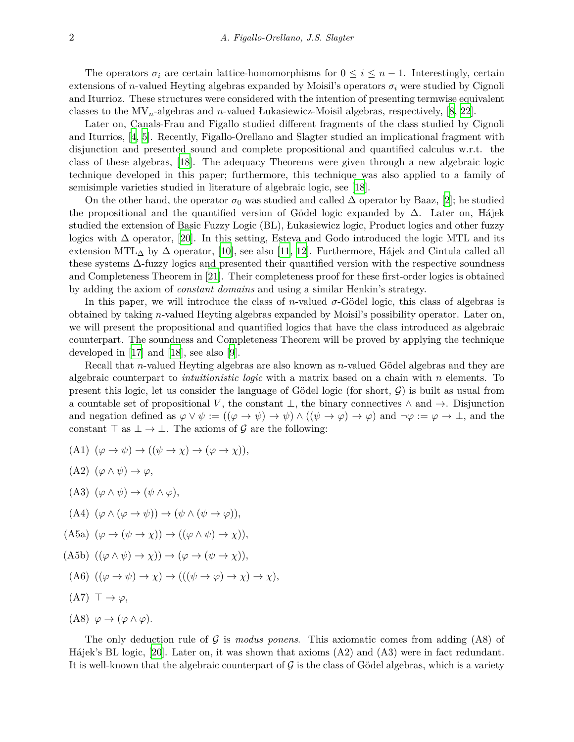The operators  $\sigma_i$  are certain lattice-homomorphisms for  $0 \leq i \leq n-1$ . Interestingly, certain extensions of *n*-valued Heyting algebras expanded by Moisil's operators  $\sigma_i$  were studied by Cignoli and Iturrioz. These structures were considered with the intention of presenting termwise equivalent classes to the MV*n*-algebras and *n*-valued Łukasiewicz-Moisil algebras, respectively, [\[8,](#page-13-1) [22](#page-14-0)].

Later on, Canals-Frau and Figallo studied different fragments of the class studied by Cignoli and Iturrios, [[4](#page-13-2), [5](#page-13-3)]. Recently, Figallo-Orellano and Slagter studied an implicational fragment with disjunction and presented sound and complete propositional and quantified calculus w.r.t. the class of these algebras, [[18\]](#page-13-4). The adequacy Theorems were given through a new algebraic logic technique developed in this paper; furthermore, this technique was also applied to a family of semisimple varieties studied in literature of algebraic logic, see [\[18](#page-13-4)].

On the other hand, the operator  $\sigma_0$  was studied and called  $\Delta$  operator by Baaz, [[2](#page-13-5)]; he studied the propositional and the quantified version of Gödel logic expanded by ∆. Later on, Hájek studied the extension of Basic Fuzzy Logic (BL), Łukasiewicz logic, Product logics and other fuzzy logics with ∆ operator, [\[20](#page-14-1)]. In this setting, Esteva and Godo introduced the logic MTL and its extension MTL<sub>∆</sub> by  $\Delta$  operator, [[10](#page-13-6)], see also [[11](#page-13-7), [12](#page-13-8)]. Furthermore, Hájek and Cintula called all these systems ∆-fuzzy logics and presented their quantified version with the respective soundness and Completeness Theorem in[[21\]](#page-14-2). Their completeness proof for these first-order logics is obtained by adding the axiom of *constant domains* and using a similar Henkin's strategy.

In this paper, we will introduce the class of *n*-valued  $\sigma$ -Gödel logic, this class of algebras is obtained by taking *n*-valued Heyting algebras expanded by Moisil's possibility operator. Later on, we will present the propositional and quantified logics that have the class introduced as algebraic counterpart. The soundness and Completeness Theorem will be proved by applying the technique developed in [\[17\]](#page-13-9) and [[18\]](#page-13-4), see also [\[9](#page-13-10)].

Recall that *n*-valued Heyting algebras are also known as *n*-valued Gödel algebras and they are algebraic counterpart to *intuitionistic logic* with a matrix based on a chain with *n* elements. To present this logic, let us consider the language of Gödel logic (for short, *G*) is built as usual from a countable set of propositional *V* , the constant *⊥*, the binary connectives *∧* and *→*. Disjunction and negation defined as  $\varphi \lor \psi := ((\varphi \to \psi) \to \psi) \land ((\psi \to \varphi) \to \varphi)$  and  $\neg \varphi := \varphi \to \bot$ , and the constant  $\top$  as  $\bot \to \bot$ . The axioms of  $\mathcal G$  are the following:

- $(A1)$   $(\varphi \to \psi) \to ((\psi \to \chi) \to (\varphi \to \chi)),$
- $(A2)$   $(\varphi \wedge \psi) \rightarrow \varphi$ ,
- $(A3)$   $(\varphi \wedge \psi) \rightarrow (\psi \wedge \varphi),$
- $(A4)$   $(\varphi \wedge (\varphi \rightarrow \psi)) \rightarrow (\psi \wedge (\psi \rightarrow \varphi)),$
- $(A5a)$   $(\varphi \to (\psi \to \chi)) \to ((\varphi \land \psi) \to \chi)),$
- $(A5b)$   $((\varphi \land \psi) \rightarrow \chi)) \rightarrow (\varphi \rightarrow (\psi \rightarrow \chi)),$
- $((A6) ((\varphi \rightarrow \psi) \rightarrow \chi) \rightarrow (((\psi \rightarrow \varphi) \rightarrow \chi) \rightarrow \chi),$
- $(A7)$   $\top \rightarrow \varphi$ ,
- (A8)  $\varphi \to (\varphi \land \varphi)$ .

The only deduction rule of *G* is *modus ponens*. This axiomatic comes from adding (A8) of Hájek's BL logic, [[20\]](#page-14-1). Later on, it was shown that axioms (A2) and (A3) were in fact redundant. It is well-known that the algebraic counterpart of  $\mathcal G$  is the class of Gödel algebras, which is a variety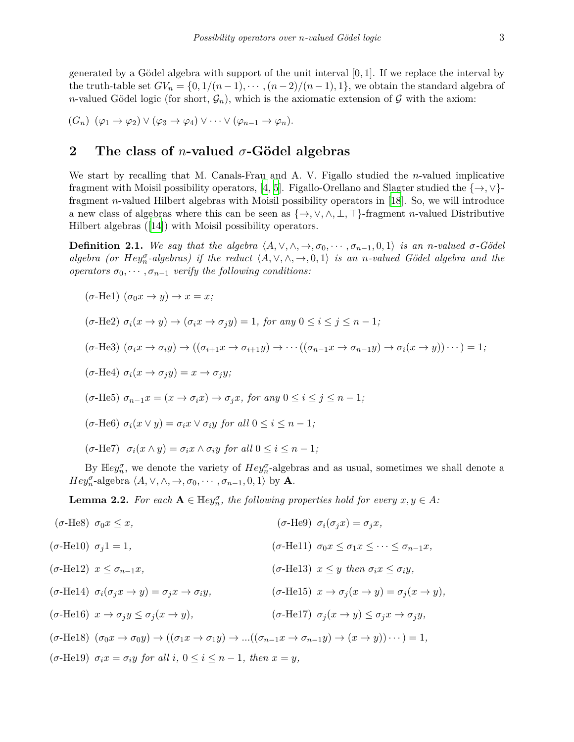generated by a Gödel algebra with support of the unit interval [0*,* 1]. If we replace the interval by the truth-table set  $GV_n = \{0, 1/(n-1), \cdots, (n-2)/(n-1), 1\}$ , we obtain the standard algebra of *n*-valued Gödel logic (for short,  $\mathcal{G}_n$ ), which is the axiomatic extension of  $\mathcal{G}$  with the axiom:

 $(G_n)$   $(\varphi_1 \to \varphi_2) \vee (\varphi_3 \to \varphi_4) \vee \cdots \vee (\varphi_{n-1} \to \varphi_n).$ 

## **2 The class of** *n***-valued** *σ***-Gödel algebras**

We start by recalling that M. Canals-Frau and A. V. Figallo studied the *n*-valued implicative fragment with Moisil possibility operators, [\[4,](#page-13-2) [5](#page-13-3)]. Figallo-Orellano and Slagter studied the *{→, ∨}* fragment *n*-valued Hilbert algebras with Moisil possibility operators in[[18\]](#page-13-4). So, we will introduce a new class of algebras where this can be seen as *{→, ∨, ∧, ⊥, ⊤}*-fragment *n*-valued Distributive Hilbert algebras ([\[14](#page-13-11)]) with Moisil possibility operators.

**Definition 2.1.** We say that the algebra  $\langle A, \vee, \wedge, \rightarrow, \sigma_0, \cdots, \sigma_{n-1}, 0, 1 \rangle$  is an n-valued  $\sigma$ -Gödel algebra (or  $Hey_n^{\sigma}$ -algebras) if the reduct  $\langle A, \vee, \wedge, \rightarrow, 0, 1 \rangle$  is an n-valued Gödel algebra and the *operators*  $\sigma_0$ ,  $\cdots$ ,  $\sigma_{n-1}$  *verify the following conditions:* 

$$
(\sigma-\text{He1}) (\sigma_0 x \to y) \to x = x;
$$
  
\n
$$
(\sigma-\text{He2}) \sigma_i(x \to y) \to (\sigma_i x \to \sigma_j y) = 1, \text{ for any } 0 \le i \le j \le n-1;
$$
  
\n
$$
(\sigma-\text{He3}) (\sigma_i x \to \sigma_i y) \to ((\sigma_{i+1} x \to \sigma_{i+1} y) \to \cdots ((\sigma_{n-1} x \to \sigma_{n-1} y) \to \sigma_i (x \to y)) \cdots) = 1;
$$
  
\n
$$
(\sigma-\text{He4}) \sigma_i(x \to \sigma_j y) = x \to \sigma_j y;
$$
  
\n
$$
(\sigma-\text{He5}) \sigma_{n-1} x = (x \to \sigma_i x) \to \sigma_j x, \text{ for any } 0 \le i \le j \le n-1;
$$
  
\n
$$
(\sigma-\text{He6}) \sigma_i(x \lor y) = \sigma_i x \lor \sigma_i y \text{ for all } 0 \le i \le n-1;
$$
  
\n
$$
(\sigma-\text{He7}) \sigma_i(x \land y) = \sigma_i x \land \sigma_i y \text{ for all } 0 \le i \le n-1;
$$

By  $\mathbb{H}ey_n^{\sigma}$ , we denote the variety of  $Hey_n^{\sigma}$ -algebras and as usual, sometimes we shall denote a *Hey*<sup> $\sigma$ </sup><sub>*n*</sub>-algebra  $\langle A, \vee, \wedge, \rightarrow, \sigma_0, \cdots, \sigma_{n-1}, 0, 1 \rangle$  by **A**.

**Lemma 2.2.** For each  $A \in \mathbb{H}ey_n^{\sigma}$ , the following properties hold for every  $x, y \in A$ :

( $\sigma$ -He8)  $\sigma_0 x \leq x$ , ( $\sigma$ -He9)  $\sigma_i(\sigma_i x) = \sigma_i x$ ,  $(\sigma-\text{He10}) \quad \sigma_i 1 = 1,$   $(\sigma-\text{He11}) \quad \sigma_0 x \leq \sigma_1 x \leq \cdots \leq \sigma_{n-1} x,$  $(σ\text{-He12})$   $x \leq \sigma_{n-1}x$ ,  $(σ\text{-He13})$   $x \leq y$  then  $\sigma_i x \leq \sigma_i y$ ,  $(\sigma\text{-He14}) \ \sigma_i(\sigma_i x \to y) = \sigma_i x \to \sigma_i y,$   $(\sigma\text{-He15}) \ \ x \to \sigma_i(x \to y) = \sigma_i(x \to y),$  $(\sigma\text{-He16})$   $x \to \sigma_i y \leq \sigma_i (x \to y),$   $(\sigma\text{-He17})$   $\sigma_i (x \to y) \leq \sigma_i x \to \sigma_i y,$  $(\sigma\text{-He18})$   $(\sigma_0 x \to \sigma_0 y) \to ((\sigma_1 x \to \sigma_1 y) \to ... ((\sigma_{n-1} x \to \sigma_{n-1} y) \to (x \to y)) \cdots) = 1,$  $(\sigma$ -He19)  $\sigma_i x = \sigma_i y$  for all  $i, 0 \leq i \leq n-1$ , then  $x = y$ ,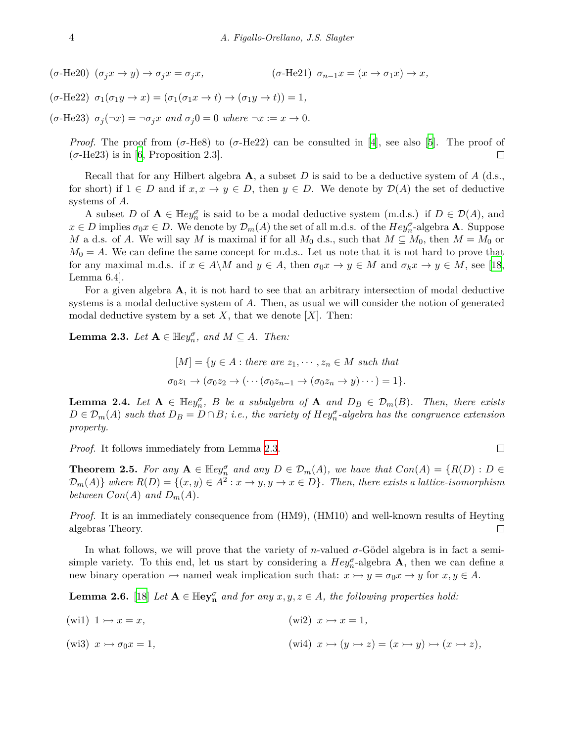$(\sigma-\text{He20})$   $(\sigma_i x \to y) \to \sigma_i x = \sigma_i x$ ,  $(\sigma-\text{He21})$   $\sigma_{n-1} x = (x \to \sigma_1 x) \to x$ ,

$$
(\sigma-\text{He22}) \ \sigma_1(\sigma_1y \to x) = (\sigma_1(\sigma_1x \to t) \to (\sigma_1y \to t)) = 1,
$$

 $(\sigma$ -He23)  $\sigma_j(\neg x) = \neg \sigma_j x$  and  $\sigma_j 0 = 0$  where  $\neg x := x \to 0$ .

*Proof.* The proof from  $(\sigma$ -He8) to  $(\sigma$ -He22) can be consulted in [\[4\]](#page-13-2), see also [[5](#page-13-3)]. The proof of  $(\sigma$ -He23) is in [[6](#page-13-12), Proposition 2.3].  $\Box$ 

Recall that for any Hilbert algebra **A**, a subset *D* is said to be a deductive system of *A* (d.s., for short) if  $1 \in D$  and if  $x, x \to y \in D$ , then  $y \in D$ . We denote by  $\mathcal{D}(A)$  the set of deductive systems of *A*.

A subset *D* of  $A \in \mathbb{H}ey_n^{\sigma}$  is said to be a modal deductive system (m.d.s.) if  $D \in \mathcal{D}(A)$ , and  $x \in D$  implies  $\sigma_0 x \in D$ . We denote by  $\mathcal{D}_m(A)$  the set of all m.d.s. of the  $Hey_n^{\sigma}$ -algebra **A**. Suppose *M* a d.s. of *A*. We will say *M* is maximal if for all  $M_0$  d.s., such that  $M \subseteq M_0$ , then  $M = M_0$  or  $M_0 = A$ . We can define the same concept for m.d.s.. Let us note that it is not hard to prove that for any maximal m.d.s. if  $x \in A \backslash M$  and  $y \in A$ , then  $\sigma_0 x \to y \in M$  and  $\sigma_k x \to y \in M$ , see [\[18](#page-13-4), Lemma 6.4].

For a given algebra **A**, it is not hard to see that an arbitrary intersection of modal deductive systems is a modal deductive system of *A*. Then, as usual we will consider the notion of generated modal deductive system by a set  $X$ , that we denote  $[X]$ . Then:

<span id="page-3-0"></span>**Lemma 2.3.** *Let*  $A \in \mathbb{H}ey_n^{\sigma}$ , and  $M \subseteq A$ *. Then:* 

 $[M] = \{y \in A : \text{there are } z_1, \dots, z_n \in M \text{ such that }$  $\sigma_0 z_1 \rightarrow (\sigma_0 z_2 \rightarrow (\cdots (\sigma_0 z_{n-1} \rightarrow (\sigma_0 z_n \rightarrow y) \cdots ) = 1).$ 

**Lemma 2.4.** *Let*  $A \in \mathbb{H}ey_n^{\sigma}$ , *B be a subalgebra of*  $A$  *and*  $D_B \in \mathcal{D}_m(B)$ *. Then, there exists*  $D \in \mathcal{D}_m(A)$  such that  $D_B = D \cap B$ ; i.e., the variety of  $Hey_n^{\sigma}$ -algebra has the congruence extension *property.*

*Proof.* It follows immediately from Lemma [2.3](#page-3-0).

**Theorem 2.5.** For any  $A \in \mathbb{H}ey_n^{\sigma}$  and any  $D \in \mathcal{D}_m(A)$ , we have that  $Con(A) = \{R(D) : D \in \mathcal{D}_m(A) \}$  $\mathcal{D}_m(A)$  where  $R(D) = \{(x, y) \in A^2 : x \to y, y \to x \in D\}$ . Then, there exists a lattice-isomorphism *between*  $Con(A)$  *and*  $D_m(A)$ *.* 

*Proof.* It is an immediately consequence from (HM9), (HM10) and well-known results of Heyting algebras Theory.  $\Box$ 

In what follows, we will prove that the variety of *n*-valued  $\sigma$ -Gödel algebra is in fact a semisimple variety. To this end, let us start by considering a  $\text{Hey}_{n}^{\sigma}$ -algebra **A**, then we can define a new binary operation  $\rightarrow$  named weak implication such that:  $x \rightarrow y = \sigma_0 x \rightarrow y$  for  $x, y \in A$ .

**Lemma 2.6.** [[18\]](#page-13-4) *Let*  $A \in \mathbb{H}e$  *y*<sub>*n*</sub> *and for any*  $x, y, z \in A$ *, the following properties hold:* 

(wi1)  $1 \rightarrow x = x$ , (wi2)  $x \rightarrow x = 1$ , (wi3)  $x \rightarrow \sigma_0 x = 1$ ,<br>
(wi4)  $x \rightarrow (y \rightarrow z) = (x \rightarrow y) \rightarrow (x \rightarrow z)$ ,  $\Box$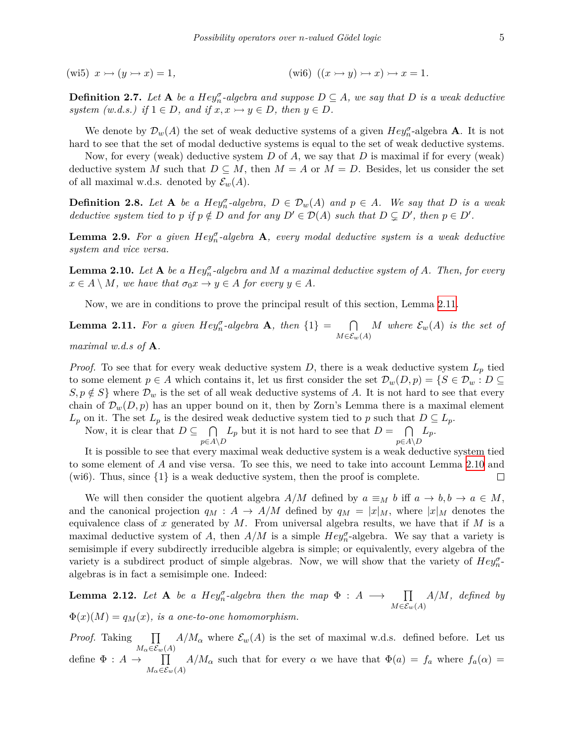(wi5)  $x \rightarrow (y \rightarrow x) = 1$ , (wi6)  $((x \rightarrow y) \rightarrow x) \rightarrow x = 1$ .

**Definition 2.7.** Let  $A$  be a  $Hey_n^{\sigma}$ -algebra and suppose  $D \subseteq A$ , we say that  $D$  is a weak deductive *system (w.d.s.)* if  $1 \in D$ , and if  $x, x \rightarrow y \in D$ , then  $y \in D$ .

We denote by  $\mathcal{D}_w(A)$  the set of weak deductive systems of a given  $Hey_n^{\sigma}$ -algebra **A**. It is not hard to see that the set of modal deductive systems is equal to the set of weak deductive systems.

Now, for every (weak) deductive system *D* of *A*, we say that *D* is maximal if for every (weak) deductive system *M* such that  $D \subseteq M$ , then  $M = A$  or  $M = D$ . Besides, let us consider the set of all maximal w.d.s. denoted by  $\mathcal{E}_w(A)$ .

<span id="page-4-2"></span>**Definition 2.8.** Let **A** be a  $Hey_n^{\sigma}$ -algebra,  $D \in \mathcal{D}_w(A)$  and  $p \in A$ . We say that  $D$  is a weak deductive system tied to p if  $p \notin D$  and for any  $D' \in \mathcal{D}(A)$  such that  $D \subsetneq D'$ , then  $p \in D'$ .

**Lemma 2.9.** For a given  $Hey_n^{\sigma}$ -algebra **A**, every modal deductive system is a weak deductive *system and vice versa.*

<span id="page-4-1"></span>**Lemma 2.10.** Let  $A$  be a  $Hey^{\sigma}_{n}$ -algebra and  $M$  a maximal deductive system of  $A$ *. Then, for every*  $x \in A \setminus M$ , we have that  $\sigma_0 x \to y \in A$  for every  $y \in A$ .

Now, we are in conditions to prove the principal result of this section, Lemma [2.11.](#page-4-0)

<span id="page-4-0"></span>**Lemma 2.11.** For a given  $Hey_n^{\sigma}$ -algebra **A**, then  $\{1\}$  =  $\cap$ *M∈Ew*(*A*) *M* where  $\mathcal{E}_w(A)$  *is the set of* 

*maximal w.d.s of* **A***.*

*Proof.* To see that for every weak deductive system *D*, there is a weak deductive system  $L_p$  tied to some element  $p \in A$  which contains it, let us first consider the set  $\mathcal{D}_w(D, p) = \{S \in \mathcal{D}_w : D \subseteq$  $S, p \notin S$  where  $\mathcal{D}_w$  is the set of all weak deductive systems of *A*. It is not hard to see that every chain of  $\mathcal{D}_w(D, p)$  has an upper bound on it, then by Zorn's Lemma there is a maximal element  $L_p$  on it. The set  $L_p$  is the desired weak deductive system tied to *p* such that  $D \subseteq L_p$ .

Now, it is clear that  $D \subseteq \bigcap$ *p∈A\D*  $L_p$  but it is not hard to see that  $D = \bigcap$ *p∈A\D Lp*.

It is possible to see that every maximal weak deductive system is a weak deductive system tied to some element of *A* and vise versa. To see this, we need to take into account Lemma [2.10](#page-4-1) and (wi6). Thus, since *{*1*}* is a weak deductive system, then the proof is complete.  $\Box$ 

We will then consider the quotient algebra  $A/M$  defined by  $a \equiv_M b$  iff  $a \to b, b \to a \in M$ , and the canonical projection  $q_M : A \to A/M$  defined by  $q_M = |x|_M$ , where  $|x|_M$  denotes the equivalence class of  $x$  generated by  $M$ . From universal algebra results, we have that if  $M$  is a maximal deductive system of *A*, then  $A/M$  is a simple  $Hey_n^{\sigma}$ -algebra. We say that a variety is semisimple if every subdirectly irreducible algebra is simple; or equivalently, every algebra of the variety is a subdirect product of simple algebras. Now, we will show that the variety of  $Hey_{n}^{\sigma}$ algebras is in fact a semisimple one. Indeed:

**Lemma 2.12.** *Let* **A** *be a Hey*<sup> $\sigma$ </sup><sub>*n*</sub>-algebra then the map  $\Phi : A \longrightarrow \prod$ *M∈Ew*(*A*) *A/M, defined by*  $\Phi(x)(M) = q_M(x)$ , is a one-to-one homomorphism.

*Proof.* Taking ∏  $M_{\alpha} \in \mathcal{E}_w(A)$  $A/M_\alpha$  where  $\mathcal{E}_w(A)$  is the set of maximal w.d.s. defined before. Let us define  $\Phi : A \rightarrow \prod$  $M_{\alpha} \in \mathcal{E}_w(A)$ *A/M*<sup>*α*</sup> such that for every *α* we have that  $\Phi(a) = f_a$  where  $f_a(\alpha) =$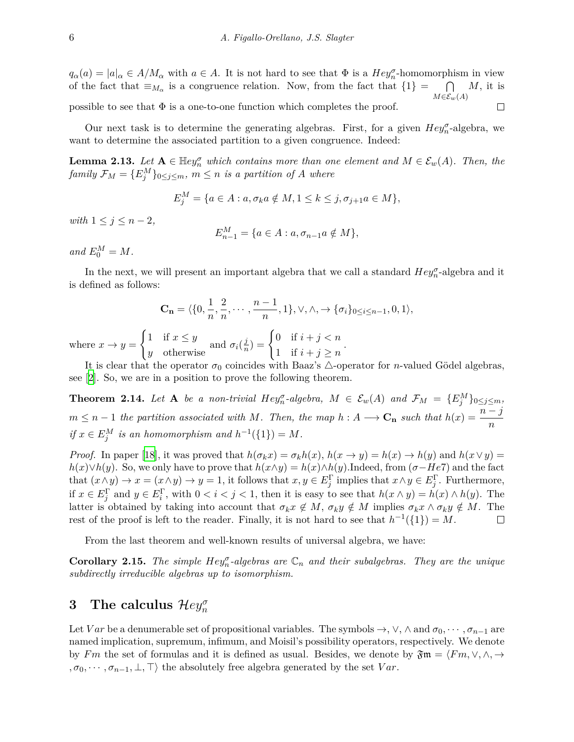$q_{\alpha}(a) = |a|_{\alpha} \in A/M_{\alpha}$  with  $a \in A$ . It is not hard to see that  $\Phi$  is a  $Hey_{n}^{\sigma}$ -homomorphism in view ∩ *M*, it is of the fact that  $\equiv_{M_{\alpha}}$  is a congruence relation. Now, from the fact that  $\{1\}$  = *M∈Ew*(*A*) possible to see that  $\Phi$  is a one-to-one function which completes the proof.  $\Box$ 

Our next task is to determine the generating algebras. First, for a given  $Hey_n^{\sigma}$ -algebra, we want to determine the associated partition to a given congruence. Indeed:

**Lemma 2.13.** *Let*  $A \in \mathbb{H}ey_n^{\sigma}$  *which contains more than one element and*  $M \in \mathcal{E}_w(A)$ *. Then, the family*  $\mathcal{F}_M = \{E_j^M\}_{0 \leq j \leq m}$ ,  $m \leq n$  *is a partition of A where* 

$$
E_j^M = \{ a \in A : a, \sigma_k a \notin M, 1 \le k \le j, \sigma_{j+1} a \in M \},\
$$

*with*  $1 \leq j \leq n-2$ ,

$$
E_{n-1}^M = \{ a \in A : a, \sigma_{n-1} a \notin M \},\
$$

 $and E_0^M = M.$ 

In the next, we will present an important algebra that we call a standard  $\text{Hey}^{\sigma}_n$ -algebra and it is defined as follows:

$$
\mathbf{C_n} = \langle \{0, \frac{1}{n}, \frac{2}{n}, \cdots, \frac{n-1}{n}, 1\}, \vee, \wedge, \to \{\sigma_i\}_{0 \le i \le n-1}, 0, 1 \rangle,
$$

where  $x \to y =$  $\int 1$  if  $x \leq y$  $\frac{1}{y}$  otherwise and  $\sigma_i(\frac{j}{n})$  $\frac{j}{n}$ ) =  $\begin{cases} 0 & \text{if } i + j < n \\ 1 & \text{if } i + j > n \end{cases}$ 1 if  $i + j \geq n$ 

It is clear that the operator  $\sigma_0$  coincides with Baaz's  $\triangle$ -operator for *n*-valued Gödel algebras, see [\[2\]](#page-13-5). So, we are in a position to prove the following theorem.

*.*

<span id="page-5-0"></span>**Theorem 2.14.** Let **A** be a non-trivial Hey<sub>n</sub><sup> $\sigma$ </sup>-algebra,  $M \in \mathcal{E}_w(A)$  and  $\mathcal{F}_M = \{E_j^M\}_{0 \leq j \leq m}$ ,  $m \leq n-1$  the partition associated with M. Then, the map  $h : A \longrightarrow \mathbf{C_n}$  such that  $h(x) = \frac{n-j}{n}$  $if x \in E_j^M$  *is an homomorphism and*  $h^{-1}(\{1\}) = M$ *.* 

*Proof.* In paper [\[18](#page-13-4)], it was proved that  $h(\sigma_k x) = \sigma_k h(x)$ ,  $h(x \to y) = h(x) \to h(y)$  and  $h(x \lor y) =$  $h(x) \vee h(y)$ . So, we only have to prove that  $h(x \wedge y) = h(x) \wedge h(y)$ .Indeed, from ( $\sigma$ *−He*7) and the fact that  $(x \wedge y) \rightarrow x = (x \wedge y) \rightarrow y = 1$ , it follows that  $x, y \in E_j^{\Gamma}$  implies that  $x \wedge y \in E_j^{\Gamma}$ . Furthermore, if  $x \in E_j^{\Gamma}$  and  $y \in E_i^{\Gamma}$ , with  $0 < i < j < 1$ , then it is easy to see that  $h(x \wedge y) = h(x) \wedge h(y)$ . The latter is obtained by taking into account that  $\sigma_k x \notin M$ ,  $\sigma_k y \notin M$  implies  $\sigma_k x \wedge \sigma_k y \notin M$ . The rest of the proof is left to the reader. Finally, it is not hard to see that  $h^{-1}(\{1\}) = M$ .  $\Box$ 

From the last theorem and well-known results of universal algebra, we have:

**Corollary 2.15.** *The simple*  $Hey_n^{\sigma}$ *-algebras are*  $\mathbb{C}_n$  *and their subalgebras. They are the unique subdirectly irreducible algebras up to isomorphism.*

# **3** The calculus  $\mathcal{H}ey_n^{\sigma}$

Let *Var* be a denumerable set of propositional variables. The symbols  $\rightarrow$ ,  $\vee$ ,  $\wedge$  and  $\sigma_0$ ,  $\cdots$ ,  $\sigma_{n-1}$  are named implication, supremum, infimum, and Moisil's possibility operators, respectively. We denote by *Fm* the set of formulas and it is defined as usual. Besides, we denote by  $\mathfrak{Fm} = \langle Fm, \vee, \wedge, \rightarrow$  $, \sigma_0, \dots, \sigma_{n-1}, \bot, \top$  the absolutely free algebra generated by the set *Var*.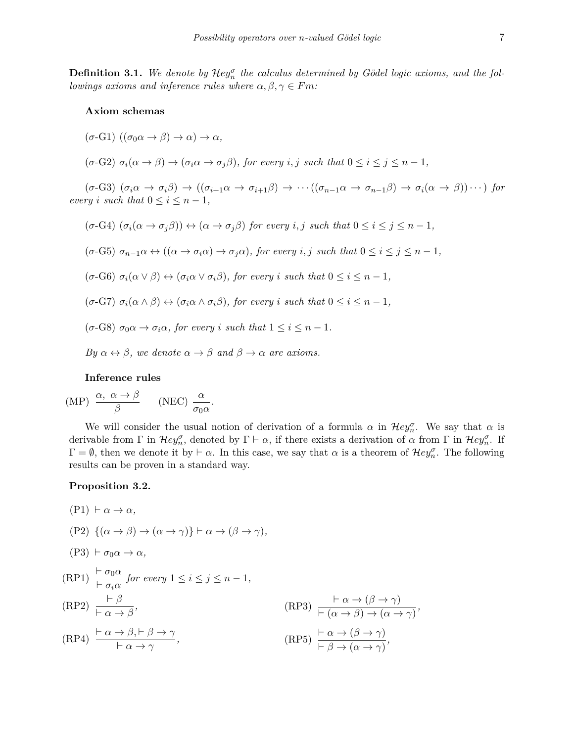**Definition 3.1.** We denote by  $\mathcal{H}ey_n^{\sigma}$  the calculus determined by Gödel logic axioms, and the fol*lowings axioms and inference rules where*  $\alpha, \beta, \gamma \in Fm$ *:* 

#### **Axiom schemas**

- $(\sigma$ -G1)  $((\sigma_0 \alpha \rightarrow \beta) \rightarrow \alpha) \rightarrow \alpha$
- $(\sigma$ -G2)  $\sigma_i(\alpha \to \beta) \to (\sigma_i \alpha \to \sigma_j \beta)$ , for every i, j such that  $0 \leq i \leq j \leq n-1$ ,

 $(\sigma-\text{G3})$   $(\sigma_i\alpha \to \sigma_i\beta) \to ((\sigma_{i+1}\alpha \to \sigma_{i+1}\beta) \to \cdots ((\sigma_{n-1}\alpha \to \sigma_{n-1}\beta) \to \sigma_i(\alpha \to \beta)) \cdots)$  for *every i such* that  $0 \leq i \leq n-1$ ,

- $(\sigma$ -G4)  $(\sigma_i(\alpha \to \sigma_j \beta)) \leftrightarrow (\alpha \to \sigma_j \beta)$  for every i, j such that  $0 \leq i \leq j \leq n-1$ ,
- $(\sigma$ -G5)  $\sigma_{n-1}\alpha \leftrightarrow ((\alpha \to \sigma_i\alpha) \to \sigma_j\alpha)$ , for every i, j such that  $0 \le i \le j \le n-1$ ,
- $(\sigma$ -G6)  $\sigma_i(\alpha \vee \beta) \leftrightarrow (\sigma_i \alpha \vee \sigma_i \beta)$ , for every i such that  $0 \leq i \leq n-1$ ,
- $(\sigma$ -G7)  $\sigma_i(\alpha \wedge \beta) \leftrightarrow (\sigma_i \alpha \wedge \sigma_i \beta)$ , for every i such that  $0 \leq i \leq n-1$ .
- $(\sigma$ -G8)  $\sigma_0 \alpha \rightarrow \sigma_i \alpha$ , for every *i* such that  $1 \leq i \leq n-1$ .
- *By*  $\alpha \leftrightarrow \beta$ *, we denote*  $\alpha \rightarrow \beta$  *and*  $\beta \rightarrow \alpha$  *are axioms.*

#### **Inference rules**

$$
\text{(MP)} \quad \frac{\alpha, \ \alpha \to \beta}{\beta} \qquad \text{(NEC)} \ \frac{\alpha}{\sigma_0 \alpha}.
$$

We will consider the usual notion of derivation of a formula  $\alpha$  in  $\mathcal{H}ey_n^{\sigma}$ . We say that  $\alpha$  is derivable from  $\Gamma$  in  $\mathcal{H}ey_n^{\sigma}$ , denoted by  $\Gamma \vdash \alpha$ , if there exists a derivation of  $\alpha$  from  $\Gamma$  in  $\mathcal{H}ey_n^{\sigma}$ . If  $\Gamma = \emptyset$ , then we denote it by  $\vdash \alpha$ . In this case, we say that  $\alpha$  is a theorem of  $\mathcal{H}ey_n^{\sigma}$ . The following results can be proven in a standard way.

#### **Proposition 3.2.**

 $(P1)$   $\vdash \alpha \rightarrow \alpha$ ,  $(P2) \{ (\alpha \rightarrow \beta) \rightarrow (\alpha \rightarrow \gamma) \} \vdash \alpha \rightarrow (\beta \rightarrow \gamma),$  $(P3)$   $\vdash \sigma_0 \alpha \rightarrow \alpha$ ,  $(RP1) \frac{\vdash \sigma_0 \alpha}{\vdash}$  $\frac{\partial^2 u}{\partial x \partial y}$  *for every*  $1 \leq i \leq j \leq n-1$ ,  $(RP2)$ <sup> $\vdash \beta$ </sup> *⊢ α → β*  $\frac{\mathsf{P} \alpha \to (\beta \to \gamma)}{\mathsf{P} \alpha \to (\beta \to \gamma)}$  $\frac{\alpha \rightarrow (\beta \rightarrow \gamma)}{\alpha \rightarrow \beta \rightarrow (\alpha \rightarrow \gamma)},$  $(RP4) \xrightarrow{\vdash \alpha \rightarrow \beta, \vdash \beta \rightarrow \gamma}$ *⊢ α → γ ,*  $(\text{RP5}) \frac{\vdash \alpha \rightarrow (\beta \rightarrow \gamma)}{\vdash \alpha \rightarrow (\beta \rightarrow \gamma)}$  $\frac{\alpha}{\beta}$  *A*  $(\beta \rightarrow \gamma)$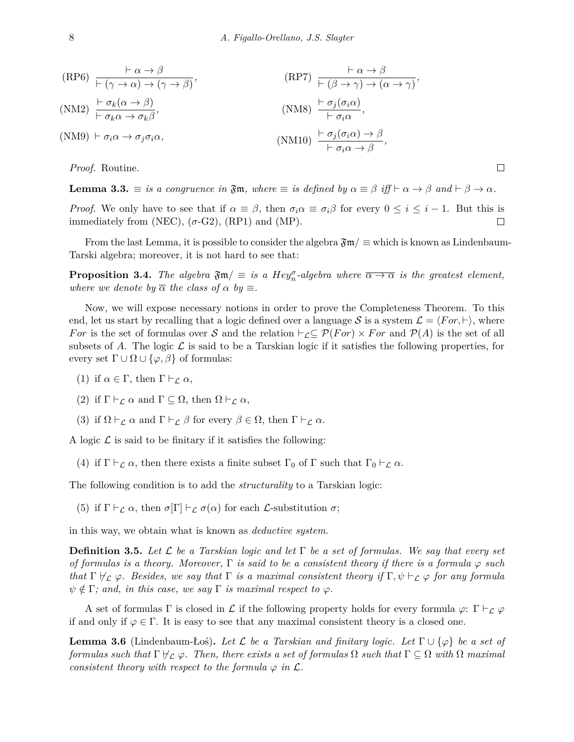(RP6) 
$$
\frac{\vdash \alpha \to \beta}{\vdash (\gamma \to \alpha) \to (\gamma \to \beta)}
$$
,   
\n(RP7)  $\frac{\vdash \alpha \to \beta}{\vdash (\beta \to \gamma) \to (\alpha \to \gamma)}$ ,   
\n(MM2)  $\frac{\vdash \sigma_k(\alpha \to \beta)}{\vdash \sigma_k\alpha \to \sigma_k\beta}$ ,   
\n(MM3)  $\frac{\vdash \sigma_j(\sigma_i\alpha)}{\vdash \sigma_i\alpha}$ ,   
\n(MM10)  $\frac{\vdash \sigma_j(\sigma_i\alpha) \to \beta}{\vdash \sigma_i\alpha \to \beta}$ ,

*Proof.* Routine.

**Lemma 3.3.**  $\equiv$  is a congruence in  $\mathfrak{Fm}$ , where  $\equiv$  is defined by  $\alpha \equiv \beta$  iff  $\vdash \alpha \rightarrow \beta$  and  $\vdash \beta \rightarrow \alpha$ .

 $\Box$ 

*Proof.* We only have to see that if  $\alpha \equiv \beta$ , then  $\sigma_i \alpha \equiv \sigma_i \beta$  for every  $0 \leq i \leq i-1$ . But this is immediately from (NEC),  $(\sigma$ -G2), (RP1) and (MP).  $\Box$ 

From the last Lemma, it is possible to consider the algebra  $\mathfrak{Fm}/\equiv$  which is known as Lindenbaum-Tarski algebra; moreover, it is not hard to see that:

**Proposition 3.4.** *The algebra*  $\mathfrak{Fm}/\equiv$  *is a Hey*<sup> $\sigma$ </sup>-algebra where  $\overline{\alpha \rightarrow \alpha}$  *is the greatest element, where we denote by*  $\overline{\alpha}$  *the class of*  $\alpha$  *by*  $\equiv$ *.* 

Now, we will expose necessary notions in order to prove the Completeness Theorem. To this end, let us start by recalling that a logic defined over a language *S* is a system  $\mathcal{L} = \langle For, \vdash \rangle$ , where *For* is the set of formulas over *S* and the relation  $\vdash$ <sub>*L*</sub>⊆  $\mathcal{P}(For) \times For$  and  $\mathcal{P}(A)$  is the set of all subsets of A. The logic  $\mathcal L$  is said to be a Tarskian logic if it satisfies the following properties, for every set  $\Gamma \cup \Omega \cup \{\varphi, \beta\}$  of formulas:

- (1) if  $\alpha \in \Gamma$ , then  $\Gamma \vdash_{\mathcal{L}} \alpha$ ,
- (2) if  $\Gamma \vdash_{\mathcal{L}} \alpha$  and  $\Gamma \subseteq \Omega$ , then  $\Omega \vdash_{\mathcal{L}} \alpha$ ,
- (3) if  $\Omega \vdash_{\mathcal{L}} \alpha$  and  $\Gamma \vdash_{\mathcal{L}} \beta$  for every  $\beta \in \Omega$ , then  $\Gamma \vdash_{\mathcal{L}} \alpha$ .

A logic  $\mathcal L$  is said to be finitary if it satisfies the following:

(4) if  $\Gamma \vdash_{\mathcal{L}} \alpha$ , then there exists a finite subset  $\Gamma_0$  of  $\Gamma$  such that  $\Gamma_0 \vdash_{\mathcal{L}} \alpha$ .

The following condition is to add the *structurality* to a Tarskian logic:

(5) if  $\Gamma \vdash_{\mathcal{L}} \alpha$ , then  $\sigma[\Gamma] \vdash_{\mathcal{L}} \sigma(\alpha)$  for each  $\mathcal{L}$ -substitution  $\sigma$ ;

in this way, we obtain what is known as *deductive system*.

**Definition 3.5.** *Let L be a Tarskian logic and let* Γ *be a set of formulas. We say that every set of formulas is a theory. Moreover,*  $\Gamma$  *is said to be a consistent theory if there is a formula*  $\varphi$  *such that*  $\Gamma \not\vdash_{\mathcal{L}} \varphi$ . Besides, we say that  $\Gamma$  is a maximal consistent theory if  $\Gamma, \psi \vdash_{\mathcal{L}} \varphi$  for any formula  $\psi \notin \Gamma$ ; and, in this case, we say  $\Gamma$  is maximal respect to  $\varphi$ .

A set of formulas  $\Gamma$  is closed in  $\mathcal L$  if the following property holds for every formula  $\varphi: \Gamma \vdash_{\mathcal L} \varphi$ if and only if  $\varphi \in \Gamma$ . It is easy to see that any maximal consistent theory is a closed one.

<span id="page-7-0"></span>**Lemma 3.6** (Lindenbaum-Łoś)**.** *Let L be a Tarskian and finitary logic. Let* Γ *∪ {φ} be a set of*  $formulas such that \Gamma \nvdash_{\mathcal{L}} \varphi$ . Then, there exists a set of formulas  $\Omega$  such that  $\Gamma \subseteq \Omega$  with  $\Omega$  maximal *consistent theory with respect to the formula*  $\varphi$  *in*  $\mathcal{L}$ *.*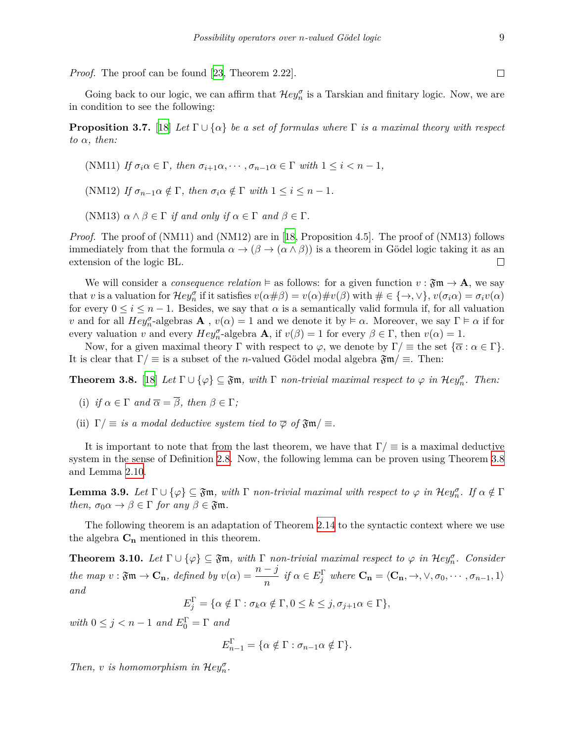*Proof.* The proof can be found [\[23](#page-14-3), Theorem 2.22].

Going back to our logic, we can affirm that  $\mathcal{H}ey_n^{\sigma}$  is a Tarskian and finitary logic. Now, we are in condition to see the following:

**Proposition 3.7.** [[18\]](#page-13-4) *Let*  $\Gamma \cup \{\alpha\}$  *be a set of formulas where*  $\Gamma$  *is a maximal theory with respect*  $to \alpha$ *, then:* 

(NM11) If 
$$
\sigma_i \alpha \in \Gamma
$$
, then  $\sigma_{i+1} \alpha, \dots, \sigma_{n-1} \alpha \in \Gamma$  with  $1 \leq i < n-1$ ,

(NM12) *If*  $\sigma_{n-1} \alpha \notin \Gamma$ , then  $\sigma_i \alpha \notin \Gamma$  with  $1 \leq i \leq n-1$ .

(NM13)  $\alpha \wedge \beta \in \Gamma$  *if and only if*  $\alpha \in \Gamma$  *and*  $\beta \in \Gamma$ *.* 

*Proof.* The proof of  $(NM11)$  and  $(NM12)$  are in [\[18,](#page-13-4) Proposition 4.5]. The proof of  $(NM13)$  follows immediately from that the formula  $\alpha \to (\beta \to (\alpha \wedge \beta))$  is a theorem in Gödel logic taking it as an extension of the logic BL.  $\Box$ 

We will consider a *consequence relation*  $\models$  as follows: for a given function  $v : \mathfrak{Fm} \to \mathbf{A}$ , we say that v is a valuation for  $\mathcal{H}ey_n^{\sigma}$  if it satisfies  $v(\alpha \# \beta) = v(\alpha) \# v(\beta)$  with  $\# \in {\{\rightarrow, \vee\}}$ ,  $v(\sigma_i \alpha) = \sigma_i v(\alpha)$ for every  $0 \leq i \leq n-1$ . Besides, we say that  $\alpha$  is a semantically valid formula if, for all valuation *v* and for all  $Hey_0^{\sigma}$ -algebras **A**,  $v(\alpha) = 1$  and we denote it by  $\models \alpha$ . Moreover, we say  $\Gamma \models \alpha$  if for every valuation *v* and every  $Hey_n^{\sigma}$ -algebra **A**, if  $v(\beta) = 1$  for every  $\beta \in \Gamma$ , then  $v(\alpha) = 1$ .

Now, for a given maximal theory  $\Gamma$  with respect to  $\varphi$ , we denote by  $\Gamma/\equiv$  the set  $\{\overline{\alpha} : \alpha \in \Gamma\}$ . It is clear that  $\Gamma/\equiv$  is a subset of the *n*-valued Gödel modal algebra  $\mathfrak{Fm}/\equiv$ . Then:

<span id="page-8-0"></span>**Theorem 3.8.** [\[18](#page-13-4)] Let  $\Gamma \cup \{\varphi\} \subseteq \mathfrak{Fm}$ , with  $\Gamma$  *non-trivial maximal respect to*  $\varphi$  *in*  $\mathcal{H}ey_n^{\sigma}$ . Then:

(i) if 
$$
\alpha \in \Gamma
$$
 and  $\overline{\alpha} = \overline{\beta}$ , then  $\beta \in \Gamma$ ;

(ii)  $\Gamma/\equiv$  *is a modal deductive system tied to*  $\overline{\varphi}$  *of*  $\mathfrak{Fm}/\equiv$ *.* 

It is important to note that from the last theorem, we have that  $\Gamma/\equiv$  is a maximal deductive system in the sense of Definition [2.8](#page-4-2). Now, the following lemma can be proven using Theorem [3.8](#page-8-0) and Lemma [2.10](#page-4-1).

**Lemma 3.9.** *Let*  $\Gamma \cup \{\varphi\} \subseteq \mathfrak{Fm}$ , with  $\Gamma$  *non-trivial maximal with respect to*  $\varphi$  *in*  $\mathcal{H}ey_n^{\sigma}$ *. If*  $\alpha \notin \Gamma$ *then,*  $\sigma_0 \alpha \rightarrow \beta \in \Gamma$  *for any*  $\beta \in \mathfrak{Fm}$ *.* 

The following theorem is an adaptation of Theorem [2.14](#page-5-0) to the syntactic context where we use the algebra  $C_n$  mentioned in this theorem.

<span id="page-8-1"></span>**Theorem 3.10.** *Let*  $\Gamma \cup \{\varphi\} \subseteq \mathfrak{Fm}$ , with  $\Gamma$  *non-trivial maximal respect to*  $\varphi$  *in*  $\mathcal{H}ey_n^{\sigma}$ *. Consider* the map  $v : \mathfrak{Fm} \to \mathbf{C_n}$ , defined by  $v(\alpha) = \frac{n-j}{n}$  if  $\alpha \in E_j^{\Gamma}$  where  $\mathbf{C_n} = \langle \mathbf{C_n}, \to, \vee, \sigma_0, \cdots, \sigma_{n-1}, 1 \rangle$ *and*

$$
E_j^{\Gamma} = \{ \alpha \notin \Gamma : \sigma_k \alpha \notin \Gamma, 0 \le k \le j, \sigma_{j+1} \alpha \in \Gamma \},\
$$

 $with \ 0 \leq j < n-1 \ and \ E_0^{\Gamma} = \Gamma \ and$ 

$$
E_{n-1}^{\Gamma} = \{ \alpha \notin \Gamma : \sigma_{n-1} \alpha \notin \Gamma \}.
$$

*Then, v is homomorphism in*  $\mathcal{H}ey_n^{\sigma}$ *.* 

 $\Box$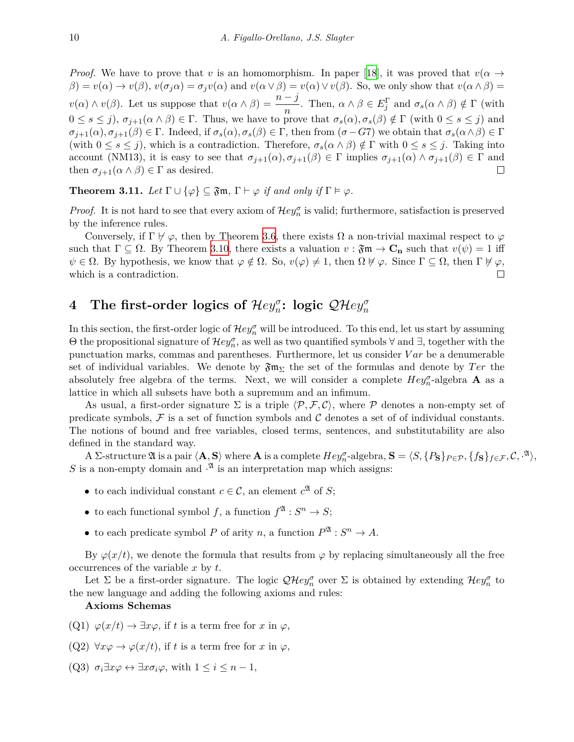*Proof.* We have to prove that *v* is an homomorphism. In paper [\[18](#page-13-4)], it was proved that  $v(\alpha \rightarrow$  $\beta$  =  $v(\alpha) \rightarrow v(\beta)$ ,  $v(\sigma_i \alpha) = \sigma_i v(\alpha)$  and  $v(\alpha \vee \beta) = v(\alpha) \vee v(\beta)$ . So, we only show that  $v(\alpha \wedge \beta) =$  $v(\alpha) \wedge v(\beta)$ . Let us suppose that  $v(\alpha \wedge \beta) = \frac{n-j}{n}$ . Then,  $\alpha \wedge \beta \in E_j^{\Gamma}$  and  $\sigma_s(\alpha \wedge \beta) \notin \Gamma$  (with  $0 \leq s \leq j$ ,  $\sigma_{i+1}(\alpha \wedge \beta) \in \Gamma$ . Thus, we have to prove that  $\sigma_s(\alpha), \sigma_s(\beta) \notin \Gamma$  (with  $0 \leq s \leq j$ ) and  $\sigma_{j+1}(\alpha), \sigma_{j+1}(\beta) \in \Gamma$ . Indeed, if  $\sigma_s(\alpha), \sigma_s(\beta) \in \Gamma$ , then from  $(\sigma - G7)$  we obtain that  $\sigma_s(\alpha \wedge \beta) \in \Gamma$ (with  $0 \le s \le j$ ), which is a contradiction. Therefore,  $\sigma_s(\alpha \wedge \beta) \notin \Gamma$  with  $0 \le s \le j$ . Taking into account (NM13), it is easy to see that  $\sigma_{j+1}(\alpha), \sigma_{j+1}(\beta) \in \Gamma$  implies  $\sigma_{j+1}(\alpha) \wedge \sigma_{j+1}(\beta) \in \Gamma$  and then  $\sigma_{j+1}(\alpha \wedge \beta) \in \Gamma$  as desired.  $\Box$ 

**Theorem 3.11.** Let  $\Gamma \cup \{\varphi\} \subseteq \mathfrak{Fm}$ ,  $\Gamma \vdash \varphi$  *if and only if*  $\Gamma \models \varphi$ *.* 

*Proof.* It is not hard to see that every axiom of  $\mathcal{H}ey_n^{\sigma}$  is valid; furthermore, satisfaction is preserved by the inference rules.

Conversely, if  $\Gamma \not\vdash \varphi$ , then by Theorem [3.6](#page-7-0), there exists  $\Omega$  a non-trivial maximal respect to  $\varphi$ such that  $\Gamma \subseteq \Omega$ . By Theorem [3.10](#page-8-1), there exists a valuation  $v : \mathfrak{Fm} \to \mathbf{C}_n$  such that  $v(\psi) = 1$  iff  $\psi \in \Omega$ . By hypothesis, we know that  $\varphi \notin \Omega$ . So,  $v(\varphi) \neq 1$ , then  $\Omega \not\models \varphi$ . Since  $\Gamma \subseteq \Omega$ , then  $\Gamma \not\models \varphi$ , which is a contradiction.  $\Box$ 

# **4** The first-order logics of  $\mathcal{H}ey_{n}^{\sigma}$ : logic  $\mathcal{QH}ey_{n}^{\sigma}$

In this section, the first-order logic of  $\mathcal{H}ey_n^{\sigma}$  will be introduced. To this end, let us start by assuming  $\Theta$  the propositional signature of  $\mathcal{H}ey_n^{\sigma}$ , as well as two quantified symbols  $\forall$  and  $\exists$ , together with the punctuation marks, commas and parentheses. Furthermore, let us consider *V ar* be a denumerable set of individual variables. We denote by  $\mathfrak{Fm}_{\Sigma}$  the set of the formulas and denote by *Ter* the absolutely free algebra of the terms. Next, we will consider a complete  $Hey_n^{\sigma}$ -algebra **A** as a lattice in which all subsets have both a supremum and an infimum.

As usual, a first-order signature  $\Sigma$  is a triple  $\langle \mathcal{P}, \mathcal{F}, \mathcal{C} \rangle$ , where  $\mathcal{P}$  denotes a non-empty set of predicate symbols,  $\mathcal F$  is a set of function symbols and  $\mathcal C$  denotes a set of of individual constants. The notions of bound and free variables, closed terms, sentences, and substitutability are also defined in the standard way.

 $A \Sigma$ -structure  $\mathfrak A$  is a pair  $\langle \mathbf A, \mathbf S \rangle$  where  $\mathbf A$  is a complete  $Hey_n^{\sigma}$ -algebra,  $\mathbf S = \langle S, \{P_{\mathbf S}\}_{P \in \mathcal P}, \{f_{\mathbf S}\}_{f \in \mathcal F}, \mathcal C, \cdot^{\mathfrak A} \rangle$ , *S* is a non-empty domain and <sup>2</sup> is an interpretation map which assigns:

- to each individual constant  $c \in \mathcal{C}$ , an element  $c^{\mathfrak{A}}$  of *S*;
- to each functional symbol *f*, a function  $f^{\mathfrak{A}} : S^n \to S$ ;
- to each predicate symbol *P* of arity *n*, a function  $P^{\mathfrak{A}} : S^n \to A$ .

By  $\varphi(x/t)$ , we denote the formula that results from  $\varphi$  by replacing simultaneously all the free occurrences of the variable *x* by *t*.

Let  $\Sigma$  be a first-order signature. The logic  $\mathcal{QH}ev_n^{\sigma}$  over  $\Sigma$  is obtained by extending  $\mathcal{H}ev_n^{\sigma}$  to the new language and adding the following axioms and rules:

#### **Axioms Schemas**

- $(Q1)$   $\varphi(x/t) \rightarrow \exists x \varphi$ , if t is a term free for x in  $\varphi$ ,
- (Q2)  $\forall x \varphi \rightarrow \varphi(x/t)$ , if *t* is a term free for *x* in  $\varphi$ ,
- (Q3)  $\sigma_i \exists x \varphi \leftrightarrow \exists x \sigma_i \varphi$ , with  $1 \leq i \leq n-1$ ,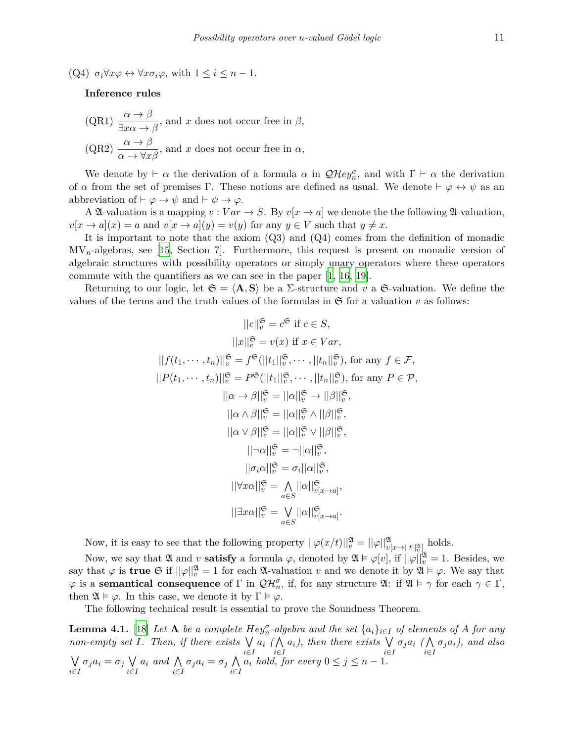(Q4)  $\sigma_i \forall x \varphi \leftrightarrow \forall x \sigma_i \varphi$ , with  $1 \leq i \leq n-1$ .

#### **Inference rules**

 $(QR1)$   $\frac{\alpha \rightarrow \beta}{2}$  $\frac{a}{\exists x\alpha \to \beta}$ , and *x* does not occur free in  $\beta$ , (QR2)  $\frac{\alpha \to \beta}{\alpha \to \forall x \beta}$ , and *x* does not occur free in  $\alpha$ ,

We denote by *⊢*  $\alpha$  the derivation of a formula  $\alpha$  in  $\mathcal{QH}ey_n^{\sigma}$ , and with  $\Gamma \vdash \alpha$  the derivation of *α* from the set of premises Γ. These notions are defined as usual. We denote  $\vdash \varphi \leftrightarrow \psi$  as an abbreviation of  $\vdash \varphi \rightarrow \psi$  and  $\vdash \psi \rightarrow \varphi$ .

A  $\mathfrak A$ -valuation is a mapping  $v : Var \to S$ . By  $v[x \to a]$  we denote the the following  $\mathfrak A$ -valuation,  $v[x \to a](x) = a$  and  $v[x \to a](y) = v(y)$  for any  $y \in V$  such that  $y \neq x$ .

It is important to note that the axiom (Q3) and (Q4) comes from the definition of monadic MV*n*-algebras, see [\[15](#page-13-13), Section 7]. Furthermore, this request is present on monadic version of algebraic structures with possibility operators or simply unary operators where these operators commute with the quantifiers as we can see in the paper [[1](#page-12-0), [16,](#page-13-14) [19\]](#page-14-4).

Returning to our logic, let  $\mathfrak{S} = \langle \mathbf{A}, \mathbf{S} \rangle$  be a  $\Sigma$ -structure and v a  $\mathfrak{S}$ -valuation. We define the values of the terms and the truth values of the formulas in  $\mathfrak S$  for a valuation  $v$  as follows:

$$
||c||_{v}^{\mathfrak{S}} = c^{\mathfrak{S}} \text{ if } c \in S,
$$
  
\n
$$
||x||_{v}^{\mathfrak{S}} = v(x) \text{ if } x \in Var,
$$
  
\n
$$
||f(t_{1}, \dots, t_{n})||_{v}^{\mathfrak{S}} = f^{\mathfrak{S}}(||t_{1}||_{v}^{\mathfrak{S}}, \dots, ||t_{n}||_{v}^{\mathfrak{S}}), \text{ for any } f \in \mathcal{F},
$$
  
\n
$$
||P(t_{1}, \dots, t_{n})||_{v}^{\mathfrak{S}} = P^{\mathfrak{S}}(||t_{1}||_{v}^{\mathfrak{S}}, \dots, ||t_{n}||_{v}^{\mathfrak{S}}), \text{ for any } P \in \mathcal{P},
$$
  
\n
$$
||\alpha \rightarrow \beta||_{v}^{\mathfrak{S}} = ||\alpha||_{v}^{\mathfrak{S}} \rightarrow ||\beta||_{v}^{\mathfrak{S}},
$$
  
\n
$$
||\alpha \wedge \beta||_{v}^{\mathfrak{S}} = ||\alpha||_{v}^{\mathfrak{S}} \wedge ||\beta||_{v}^{\mathfrak{S}},
$$
  
\n
$$
||\alpha \vee \beta||_{v}^{\mathfrak{S}} = ||\alpha||_{v}^{\mathfrak{S}} \vee ||\beta||_{v}^{\mathfrak{S}},
$$
  
\n
$$
||\neg \alpha||_{v}^{\mathfrak{S}} = \neg ||\alpha||_{v}^{\mathfrak{S}},
$$
  
\n
$$
||\sigma_{i}\alpha||_{v}^{\mathfrak{S}} = \sigma_{i}||\alpha||_{v}^{\mathfrak{S}},
$$
  
\n
$$
||\forall x \alpha||_{v}^{\mathfrak{S}} = \bigwedge_{a \in S} ||\alpha||_{v[x \rightarrow a]}^{\mathfrak{S}},
$$
  
\n
$$
||\exists x \alpha||_{v}^{\mathfrak{S}} = \bigvee_{a \in S} ||\alpha||_{v[x \rightarrow a]}^{\mathfrak{S}}.
$$

Now, it is easy to see that the following property  $||\varphi(x/t)||_v^{\mathfrak{A}} = ||\varphi||_{v[x \to ||t||_v^{\mathfrak{A}}]}^{\mathfrak{A}}$  holds.

Now, we say that  $\mathfrak A$  and  $v$  **satisfy** a formula  $\varphi$ , denoted by  $\mathfrak A \vDash \varphi[v]$ , if  $||\varphi||_v^{\mathfrak A} = 1$ . Besides, we say that  $\varphi$  is **true**  $\mathfrak{S}$  if  $||\varphi||_v^{\mathfrak{A}} = 1$  for each  $\mathfrak{A}$ -valuation  $v$  and we denote it by  $\mathfrak{A} \models \varphi$ . We say that  $\varphi$  is a **semantical consequence** of  $\Gamma$  in  $\mathcal{QH}_n^{\sigma}$ , if, for any structure  $\mathfrak{A}:$  if  $\mathfrak{A} \models \gamma$  for each  $\gamma \in \Gamma$ , then  $\mathfrak{A} \models \varphi$ . In this case, we denote it by  $\Gamma \models \varphi$ .

The following technical result is essential to prove the Soundness Theorem.

<span id="page-10-0"></span>**Lemma 4.1.** [\[18](#page-13-4)] Let **A** be a complete  $Hey_n^{\sigma}$ -algebra and the set  $\{a_i\}_{i\in I}$  of elements of *A* for any *non-empty set I. Then, if there exists* ∨ *i∈I a<sup>i</sup> (* ∧ *i∈I ai), then there exists* ∨ *i∈I σja<sup>i</sup> (* ∧ *i∈I σjai), and also* ∨ *i∈I*  $\sigma_j a_i = \sigma_j \vee$ *i∈I a<sup>i</sup> and* ∧ *i∈I*  $σ_j a_i = σ_j$  Λ *i∈I*  $a_i$  *hold, for every*  $0 \leq j \leq n-1$ *.*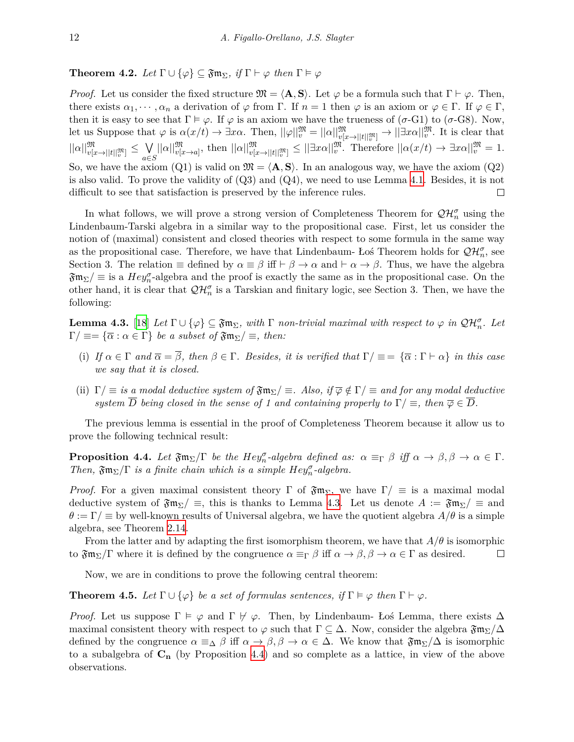**Theorem 4.2.** Let  $\Gamma \cup \{\varphi\} \subseteq \mathfrak{Fm}_{\Sigma}$ , if  $\Gamma \vdash \varphi$  then  $\Gamma \models \varphi$ 

*Proof.* Let us consider the fixed structure  $\mathfrak{M} = \langle \mathbf{A}, \mathbf{S} \rangle$ . Let  $\varphi$  be a formula such that  $\Gamma \vdash \varphi$ . Then, there exists  $\alpha_1, \dots, \alpha_n$  a derivation of  $\varphi$  from  $\Gamma$ . If  $n = 1$  then  $\varphi$  is an axiom or  $\varphi \in \Gamma$ . If  $\varphi \in \Gamma$ , then it is easy to see that  $\Gamma \models \varphi$ . If  $\varphi$  is an axiom we have the trueness of (*σ*-G1) to (*σ*-G8). Now, let us Suppose that  $\varphi$  is  $\alpha(x/t) \to \exists x\alpha$ . Then,  $||\varphi||_v^{\mathfrak{M}} = ||\alpha||_{v[x \to ||t||_v^{\mathfrak{M}}]}^{\mathfrak{M}} \to ||\exists x\alpha||_v^{\mathfrak{M}}$ . It is clear that  $v[x\rightarrow||t||]$ <sup>m</sup><sup>*n*</sup>  $\left| |\alpha| \right|_{v[x \to ||t||_v^{\mathfrak{M}}]}^{\mathfrak{M}} \leq \bigvee_{a \in \mathcal{A}}$  $||\alpha||_{v[x\rightarrow a]}^{\mathfrak{M}},$  then  $||\alpha||_{v[x\rightarrow||t||_{v}^{\mathfrak{M}}]}^{\mathfrak{M}} \leq ||\exists x\alpha||_{v}^{\mathfrak{M}}.$  Therefore  $||\alpha(x/t) \rightarrow \exists x\alpha||_{v}^{\mathfrak{M}} = 1.$ *a∈S* So, we have the axiom  $(Q1)$  is valid on  $\mathfrak{M} = \langle \mathbf{A}, \mathbf{S} \rangle$ . In an analogous way, we have the axiom  $(Q2)$ is also valid. To prove the validity of  $(Q3)$  and  $(Q4)$ , we need to use Lemma [4.1.](#page-10-0) Besides, it is not difficult to see that satisfaction is preserved by the inference rules.  $\Box$ 

In what follows, we will prove a strong version of Completeness Theorem for  $\mathcal{QH}_n^{\sigma}$  using the Lindenbaum-Tarski algebra in a similar way to the propositional case. First, let us consider the notion of (maximal) consistent and closed theories with respect to some formula in the same way as the propositional case. Therefore, we have that Lindenbaum- Łoś Theorem holds for  $\mathcal{QH}_n^{\sigma}$ , see Section 3. The relation  $\equiv$  defined by  $\alpha \equiv \beta$  iff  $\vdash \beta \rightarrow \alpha$  and  $\vdash \alpha \rightarrow \beta$ . Thus, we have the algebra  $\mathfrak{Fm}_{\Sigma}/\equiv$  is a  $Hey_{n}^{\sigma}$ -algebra and the proof is exactly the same as in the propositional case. On the other hand, it is clear that  $\mathcal{QH}_n^{\sigma}$  is a Tarskian and finitary logic, see Section 3. Then, we have the following:

<span id="page-11-0"></span>**Lemma 4.3.** [[18](#page-13-4)] Let  $\Gamma \cup \{\varphi\} \subseteq \mathfrak{Fm}_{\Sigma}$ , with  $\Gamma$  *non-trivial maximal with respect to*  $\varphi$  *in*  $\mathcal{QH}_{n}^{\sigma}$ *. Let*  $\Gamma/\equiv$   $=\{\overline{\alpha} : \alpha \in \Gamma\}$  *be a subset of*  $\mathfrak{Fm}_{\Sigma}/\equiv$ *, then:* 

- (i) If  $\alpha \in \Gamma$  and  $\overline{\alpha} = \overline{\beta}$ , then  $\beta \in \Gamma$ . Besides, it is verified that  $\Gamma/\equiv = {\overline{\alpha} : \Gamma \vdash \alpha}$  *in this case we say that it is closed.*
- (ii)  $\Gamma/\equiv$  *is a modal deductive system of*  $\mathfrak{Fm}_{\Sigma}/\equiv$ *. Also, if*  $\overline{\varphi} \notin \Gamma/\equiv$  *and for any modal deductive system*  $\overline{D}$  *being closed in the sense of 1 and containing properly to*  $\Gamma/\equiv$ , *then*  $\overline{\varphi} \in \overline{D}$ *.*

The previous lemma is essential in the proof of Completeness Theorem because it allow us to prove the following technical result:

<span id="page-11-1"></span>**Proposition 4.4.** Let  $\mathfrak{Fm}_{\Sigma}/\Gamma$  be the Hey<sub>*n*</sub>-algebra defined as:  $\alpha \equiv_{\Gamma} \beta$  iff  $\alpha \to \beta, \beta \to \alpha \in \Gamma$ . *Then,*  $\mathfrak{Fm}_{\Sigma}/\Gamma$  *is a finite chain which is a simple*  $Hey_n^{\sigma}$ *-algebra.* 

*Proof.* For a given maximal consistent theory  $\Gamma$  of  $\mathfrak{Fm}_{\Sigma}$ , we have  $\Gamma/\equiv$  is a maximal modal deductive system of  $\mathfrak{Fm}_{\Sigma}/\equiv$ , this is thanks to Lemma [4.3.](#page-11-0) Let us denote  $A := \mathfrak{Fm}_{\Sigma}/\equiv$  and  $\theta := \Gamma / \equiv$  by well-known results of Universal algebra, we have the quotient algebra  $A/\theta$  is a simple algebra, see Theorem [2.14](#page-5-0).

From the latter and by adapting the first isomorphism theorem, we have that  $A/\theta$  is isomorphic to  $\mathfrak{Fm}_{\Sigma}/\Gamma$  where it is defined by the congruence  $\alpha \equiv_{\Gamma} \beta$  iff  $\alpha \to \beta, \beta \to \alpha \in \Gamma$  as desired.  $\Box$ 

Now, we are in conditions to prove the following central theorem:

<span id="page-11-2"></span>**Theorem 4.5.** Let  $\Gamma \cup \{\varphi\}$  be a set of formulas sentences, if  $\Gamma \models \varphi$  then  $\Gamma \vdash \varphi$ .

*Proof.* Let us suppose  $\Gamma \models \varphi$  and  $\Gamma \not \vdash \varphi$ . Then, by Lindenbaum- Łoś Lemma, there exists  $\Delta$ maximal consistent theory with respect to  $\varphi$  such that  $\Gamma \subseteq \Delta$ . Now, consider the algebra  $\mathfrak{Fm}_{\Sigma}/\Delta$ defined by the congruence  $\alpha \equiv_{\Delta} \beta$  iff  $\alpha \to \beta, \beta \to \alpha \in \Delta$ . We know that  $\mathfrak{Fm}_{\Sigma}/\Delta$  is isomorphic to a subalgebra of **C<sup>n</sup>** (by Proposition [4.4\)](#page-11-1) and so complete as a lattice, in view of the above observations.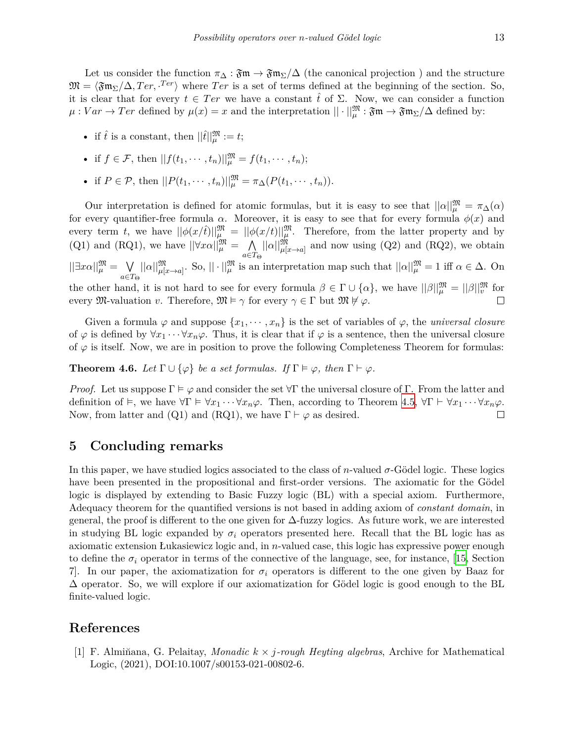Let us consider the function  $\pi_{\Delta} : \mathfrak{Fm} \to \mathfrak{Fm}_{\Sigma}/\Delta$  (the canonical projection) and the structure  $\mathfrak{M} = \langle \mathfrak{Fm}_{\Sigma}/\Delta, Ter, \cdot Ter \rangle$  where  $Ter$  is a set of terms defined at the beginning of the section. So, it is clear that for every  $t \in Ter$  we have a constant  $\hat{t}$  of  $\Sigma$ . Now, we can consider a function  $\mu: Var \to Ter$  defined by  $\mu(x) = x$  and the interpretation  $|| \cdot ||^{\mathfrak{M}}_{\mu} : \mathfrak{Fm} \to \mathfrak{Fm}_{\Sigma}/\Delta$  defined by:

- if  $\hat{t}$  is a constant, then  $||\hat{t}||^{\mathfrak{M}}_{\mu} := t$ ;
- if  $f \in \mathcal{F}$ , then  $||f(t_1, \dots, t_n)||_{\mu}^{\mathfrak{M}} = f(t_1, \dots, t_n);$
- if  $P \in \mathcal{P}$ , then  $||P(t_1, \dots, t_n)||_{\mu}^{\mathfrak{M}} = \pi_{\Delta}(P(t_1, \dots, t_n)).$

Our interpretation is defined for atomic formulas, but it is easy to see that  $||\alpha||_{\mu}^{\mathfrak{M}} = \pi_{\Delta}(\alpha)$ for every quantifier-free formula  $\alpha$ . Moreover, it is easy to see that for every formula  $\phi(x)$  and every term *t*, we have  $||\phi(x/\hat{t})||^{\mathfrak{M}}_{\mu} = ||\phi(x/t)||^{\mathfrak{M}}_{\mu}$ . Therefore, from the latter property and by (Q1) and (RQ1), we have  $||\forall x \alpha||_{\mu}^{\mathfrak{M}} = \Lambda$  $||\alpha||_{\mu[x\to a]}^{\mathfrak{M}}$  and now using (Q2) and (RQ2), we obtain *a∈T*<sup>Θ</sup>  $||\exists x\alpha||^{\mathfrak{M}}_{\mu} = ∨$  $||\alpha||_{\mu[x\to a]}^{\mathfrak{M}}$ . So,  $||\cdot||_{\mu}^{\mathfrak{M}}$  is an interpretation map such that  $||\alpha||_{\mu}^{\mathfrak{M}} = 1$  iff  $\alpha \in \Delta$ . On *a∈T*<sup>Θ</sup> the other hand, it is not hard to see for every formula  $\beta \in \Gamma \cup \{\alpha\}$ , we have  $||\beta||_{\mu}^{\mathfrak{M}} = ||\beta||_{\nu}^{\mathfrak{M}}$  for every  $\mathfrak{M}\text{-}\mathrm{valuation}\ v$ . Therefore,  $\mathfrak{M} \models \gamma$  for every  $\gamma \in \Gamma$  but  $\mathfrak{M} \not\models \varphi$ .  $\Box$ 

Given a formula  $\varphi$  and suppose  $\{x_1, \dots, x_n\}$  is the set of variables of  $\varphi$ , the *universal closure* of  $\varphi$  is defined by  $\forall x_1 \cdots \forall x_n \varphi$ . Thus, it is clear that if  $\varphi$  is a sentence, then the universal closure of  $\varphi$  is itself. Now, we are in position to prove the following Completeness Theorem for formulas:

**Theorem 4.6.** *Let*  $\Gamma \cup \{\varphi\}$  *be a set formulas. If*  $\Gamma \models \varphi$ *, then*  $\Gamma \vdash \varphi$ *.* 

*Proof.* Let us suppose  $\Gamma \models \varphi$  and consider the set  $\forall \Gamma$  the universal closure of  $\Gamma$ . From the latter and definition of  $\models$ , we have  $\forall \Gamma \models \forall x_1 \cdots \forall x_n \varphi$ . Then, according to Theorem [4.5](#page-11-2),  $\forall \Gamma \vdash \forall x_1 \cdots \forall x_n \varphi$ . Now, from latter and (Q1) and (RQ1), we have  $\Gamma \vdash \varphi$  as desired.  $\Box$ 

## **5 Concluding remarks**

In this paper, we have studied logics associated to the class of *n*-valued *σ*-Gödel logic. These logics have been presented in the propositional and first-order versions. The axiomatic for the Gödel logic is displayed by extending to Basic Fuzzy logic (BL) with a special axiom. Furthermore, Adequacy theorem for the quantified versions is not based in adding axiom of *constant domain*, in general, the proof is different to the one given for ∆-fuzzy logics. As future work, we are interested in studying BL logic expanded by  $\sigma_i$  operators presented here. Recall that the BL logic has as axiomatic extension Łukasiewicz logic and, in *n*-valued case, this logic has expressive power enough to define the  $\sigma_i$  operator in terms of the connective of the language, see, for instance, [\[15](#page-13-13), Section 7. In our paper, the axiomatization for  $\sigma_i$  operators is different to the one given by Baaz for  $\Delta$  operator. So, we will explore if our axiomatization for Gödel logic is good enough to the BL finite-valued logic.

## **References**

<span id="page-12-0"></span>[1] F. Almin̆ana, G. Pelaitay, *Monadic k × j-rough Heyting algebras*, Archive for Mathematical Logic, (2021), DOI:10.1007/s00153-021-00802-6.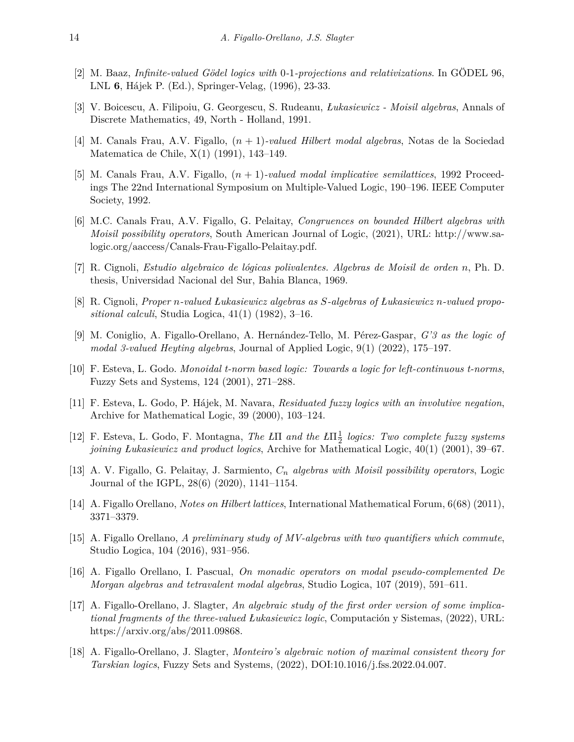- <span id="page-13-5"></span>[2] M. Baaz, *Infinite-valued Gödel logics with* 0*-*1*-projections and relativizations*. In GÖDEL 96, LNL **6**, Hájek P. (Ed.), Springer-Velag, (1996), 23-33.
- <span id="page-13-0"></span>[3] V. Boicescu, A. Filipoiu, G. Georgescu, S. Rudeanu, *Łukasiewicz - Moisil algebras*, Annals of Discrete Mathematics, 49, North - Holland, 1991.
- <span id="page-13-2"></span>[4] M. Canals Frau, A.V. Figallo, (*n* + 1)*-valued Hilbert modal algebras*, Notas de la Sociedad Matematica de Chile, X(1) (1991), 143–149.
- <span id="page-13-3"></span>[5] M. Canals Frau, A.V. Figallo, (*n* + 1)*-valued modal implicative semilattices*, 1992 Proceedings The 22nd International Symposium on Multiple-Valued Logic, 190–196. IEEE Computer Society, 1992.
- <span id="page-13-12"></span>[6] M.C. Canals Frau, A.V. Figallo, G. Pelaitay, *Congruences on bounded Hilbert algebras with Moisil possibility operators*, South American Journal of Logic, (2021), URL: http://www.salogic.org/aaccess/Canals-Frau-Figallo-Pelaitay.pdf.
- [7] R. Cignoli, *Estudio algebraico de lógicas polivalentes. Algebras de Moisil de orden n*, Ph. D. thesis, Universidad Nacional del Sur, Bahia Blanca, 1969.
- <span id="page-13-1"></span>[8] R. Cignoli, *Proper n-valued Łukasiewicz algebras as S-algebras of Łukasiewicz n-valued propositional calculi*, Studia Logica, 41(1) (1982), 3–16.
- <span id="page-13-10"></span>[9] M. Coniglio, A. Figallo-Orellano, A. Hernández-Tello, M. Pérez-Gaspar, *G'3 as the logic of modal 3-valued Heyting algebras*, Journal of Applied Logic, 9(1) (2022), 175–197.
- <span id="page-13-6"></span>[10] F. Esteva, L. Godo. *Monoidal t-norm based logic: Towards a logic for left-continuous t-norms*, Fuzzy Sets and Systems, 124 (2001), 271–288.
- <span id="page-13-7"></span>[11] F. Esteva, L. Godo, P. Hájek, M. Navara, *Residuated fuzzy logics with an involutive negation*, Archive for Mathematical Logic, 39 (2000), 103–124.
- <span id="page-13-8"></span>[12] F. Esteva, L. Godo, F. Montagna, *The Ł*Π *and the Ł*Π 1 2 *logics: Two complete fuzzy systems joining Łukasiewicz and product logics*, Archive for Mathematical Logic, 40(1) (2001), 39–67.
- [13] A. V. Figallo, G. Pelaitay, J. Sarmiento, *C<sup>n</sup> algebras with Moisil possibility operators*, Logic Journal of the IGPL, 28(6) (2020), 1141–1154.
- <span id="page-13-11"></span>[14] A. Figallo Orellano, *Notes on Hilbert lattices*, International Mathematical Forum, 6(68) (2011), 3371–3379.
- <span id="page-13-13"></span>[15] A. Figallo Orellano, *A preliminary study of MV-algebras with two quantifiers which commute*, Studio Logica, 104 (2016), 931–956.
- <span id="page-13-14"></span>[16] A. Figallo Orellano, I. Pascual, *On monadic operators on modal pseudo-complemented De Morgan algebras and tetravalent modal algebras*, Studio Logica, 107 (2019), 591–611.
- <span id="page-13-9"></span>[17] A. Figallo-Orellano, J. Slagter, *An algebraic study of the first order version of some implicational fragments of the three-valued Łukasiewicz logic*, Computación y Sistemas, (2022), URL: https://arxiv.org/abs/2011.09868.
- <span id="page-13-4"></span>[18] A. Figallo-Orellano, J. Slagter, *Monteiro's algebraic notion of maximal consistent theory for Tarskian logics*, Fuzzy Sets and Systems, (2022), DOI:10.1016/j.fss.2022.04.007.